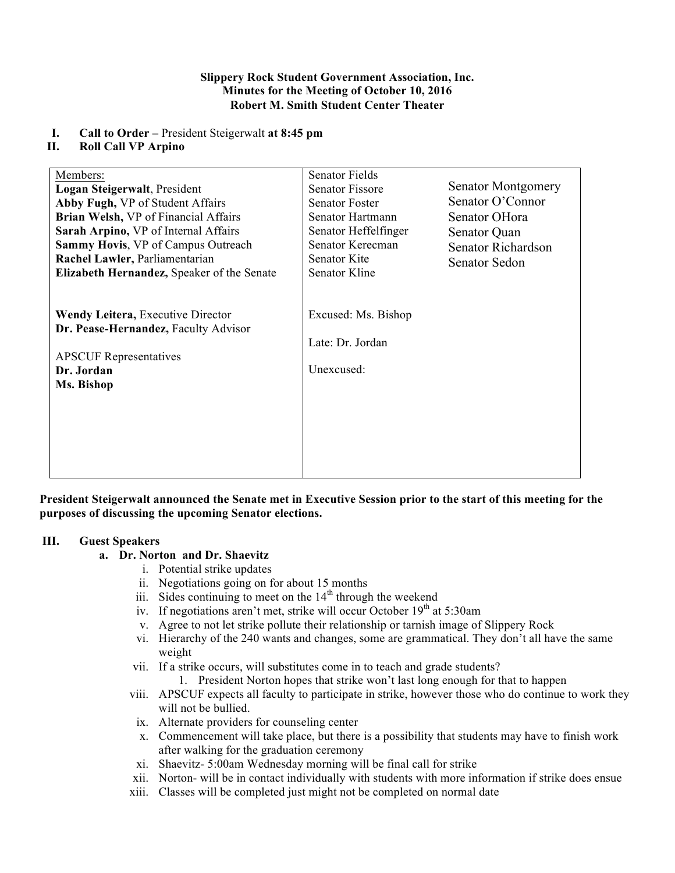#### **Slippery Rock Student Government Association, Inc. Minutes for the Meeting of October 10, 2016 Robert M. Smith Student Center Theater**

## **I. Call to Order –** President Steigerwalt **at 8:45 pm**

#### **II. Roll Call VP Arpino**

| Members:<br>Logan Steigerwalt, President<br>Abby Fugh, VP of Student Affairs<br>Brian Welsh, VP of Financial Affairs<br>Sarah Arpino, VP of Internal Affairs<br><b>Sammy Hovis, VP of Campus Outreach</b><br>Rachel Lawler, Parliamentarian<br>Elizabeth Hernandez, Speaker of the Senate | Senator Fields<br>Senator Fissore<br><b>Senator Foster</b><br>Senator Hartmann<br>Senator Heffelfinger<br>Senator Kerecman<br>Senator Kite<br>Senator Kline | <b>Senator Montgomery</b><br>Senator O'Connor<br>Senator OHora<br>Senator Quan<br>Senator Richardson<br>Senator Sedon |
|-------------------------------------------------------------------------------------------------------------------------------------------------------------------------------------------------------------------------------------------------------------------------------------------|-------------------------------------------------------------------------------------------------------------------------------------------------------------|-----------------------------------------------------------------------------------------------------------------------|
| <b>Wendy Leitera, Executive Director</b><br>Dr. Pease-Hernandez, Faculty Advisor<br><b>APSCUF</b> Representatives<br>Dr. Jordan<br>Ms. Bishop                                                                                                                                             | Excused: Ms. Bishop<br>Late: Dr. Jordan<br>Unexcused:                                                                                                       |                                                                                                                       |

**President Steigerwalt announced the Senate met in Executive Session prior to the start of this meeting for the purposes of discussing the upcoming Senator elections.**

#### **III. Guest Speakers**

### **a. Dr. Norton and Dr. Shaevitz**

- i. Potential strike updates
- ii. Negotiations going on for about 15 months
- iii. Sides continuing to meet on the  $14<sup>th</sup>$  through the weekend
- iv. If negotiations aren't met, strike will occur October  $19<sup>th</sup>$  at 5:30am
- v. Agree to not let strike pollute their relationship or tarnish image of Slippery Rock
- vi. Hierarchy of the 240 wants and changes, some are grammatical. They don't all have the same weight
- vii. If a strike occurs, will substitutes come in to teach and grade students?
	- 1. President Norton hopes that strike won't last long enough for that to happen
- viii. APSCUF expects all faculty to participate in strike, however those who do continue to work they will not be bullied.
- ix. Alternate providers for counseling center
- x. Commencement will take place, but there is a possibility that students may have to finish work after walking for the graduation ceremony
- xi. Shaevitz- 5:00am Wednesday morning will be final call for strike
- xii. Norton- will be in contact individually with students with more information if strike does ensue
- xiii. Classes will be completed just might not be completed on normal date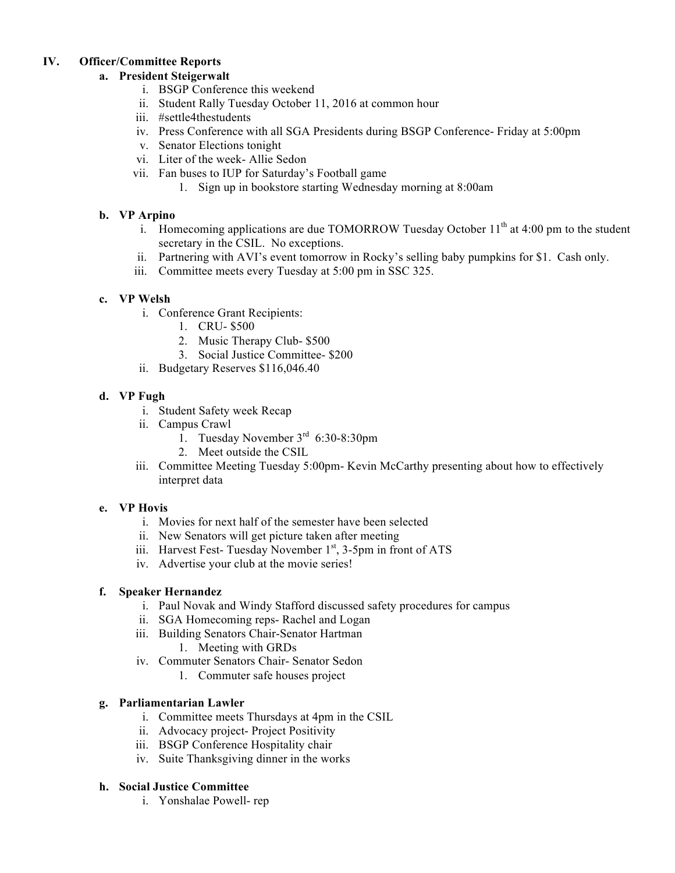# **IV. Officer/Committee Reports**

# **a. President Steigerwalt**

- i. BSGP Conference this weekend
- ii. Student Rally Tuesday October 11, 2016 at common hour
- iii. #settle4thestudents
- iv. Press Conference with all SGA Presidents during BSGP Conference- Friday at 5:00pm
- v. Senator Elections tonight
- vi. Liter of the week- Allie Sedon
- vii. Fan buses to IUP for Saturday's Football game
	- 1. Sign up in bookstore starting Wednesday morning at 8:00am

## **b. VP Arpino**

- **i.** Homecoming applications are due TOMORROW Tuesday October  $11<sup>th</sup>$  at 4:00 pm to the student secretary in the CSIL. No exceptions.
- ii. Partnering with AVI's event tomorrow in Rocky's selling baby pumpkins for \$1. Cash only.
- iii. Committee meets every Tuesday at 5:00 pm in SSC 325.

### **c. VP Welsh**

- i. Conference Grant Recipients:
	- 1. CRU- \$500
	- 2. Music Therapy Club- \$500
	- 3. Social Justice Committee- \$200
- ii. Budgetary Reserves \$116,046.40

### **d. VP Fugh**

- i. Student Safety week Recap
- ii. Campus Crawl
	- 1. Tuesday November  $3<sup>rd</sup>$  6:30-8:30pm
	- 2. Meet outside the CSIL
- iii. Committee Meeting Tuesday 5:00pm- Kevin McCarthy presenting about how to effectively interpret data

### **e. VP Hovis**

- i. Movies for next half of the semester have been selected
- ii. New Senators will get picture taken after meeting
- iii. Harvest Fest- Tuesday November 1<sup>st</sup>, 3-5pm in front of ATS
- iv. Advertise your club at the movie series!

### **f. Speaker Hernandez**

- i. Paul Novak and Windy Stafford discussed safety procedures for campus
- ii. SGA Homecoming reps- Rachel and Logan
- iii. Building Senators Chair-Senator Hartman
	- 1. Meeting with GRDs
- iv. Commuter Senators Chair- Senator Sedon
	- 1. Commuter safe houses project

### **g. Parliamentarian Lawler**

- i. Committee meets Thursdays at 4pm in the CSIL
- ii. Advocacy project- Project Positivity
- iii. BSGP Conference Hospitality chair
- iv. Suite Thanksgiving dinner in the works

# **h. Social Justice Committee**

i. Yonshalae Powell- rep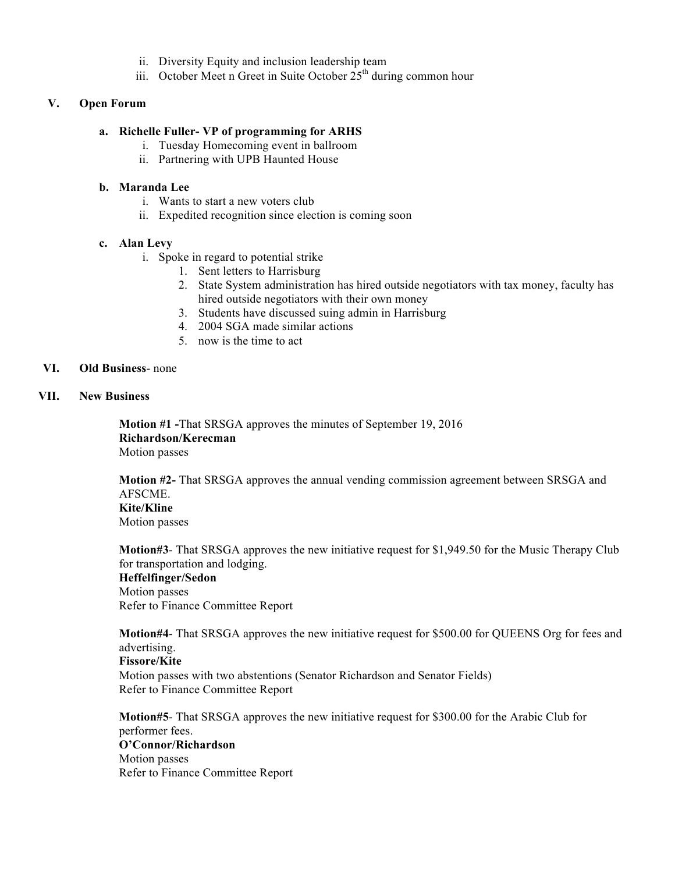- ii. Diversity Equity and inclusion leadership team
- iii. October Meet n Greet in Suite October  $25<sup>th</sup>$  during common hour

#### **V. Open Forum**

#### **a. Richelle Fuller- VP of programming for ARHS**

- i. Tuesday Homecoming event in ballroom
- ii. Partnering with UPB Haunted House

#### **b. Maranda Lee**

- i. Wants to start a new voters club
- ii. Expedited recognition since election is coming soon

### **c. Alan Levy**

- i. Spoke in regard to potential strike
	- 1. Sent letters to Harrisburg
	- 2. State System administration has hired outside negotiators with tax money, faculty has hired outside negotiators with their own money
	- 3. Students have discussed suing admin in Harrisburg
	- 4. 2004 SGA made similar actions
	- 5. now is the time to act

#### **VI. Old Business**- none

### **VII. New Business**

**Motion #1 -**That SRSGA approves the minutes of September 19, 2016 **Richardson/Kerecman** Motion passes

**Motion #2-** That SRSGA approves the annual vending commission agreement between SRSGA and AFSCME. **Kite/Kline** Motion passes

**Motion#3**- That SRSGA approves the new initiative request for \$1,949.50 for the Music Therapy Club for transportation and lodging. **Heffelfinger/Sedon**  Motion passes Refer to Finance Committee Report

**Motion#4**- That SRSGA approves the new initiative request for \$500.00 for QUEENS Org for fees and advertising.

**Fissore/Kite** Motion passes with two abstentions (Senator Richardson and Senator Fields) Refer to Finance Committee Report

**Motion#5**- That SRSGA approves the new initiative request for \$300.00 for the Arabic Club for performer fees.

# **O'Connor/Richardson** Motion passes Refer to Finance Committee Report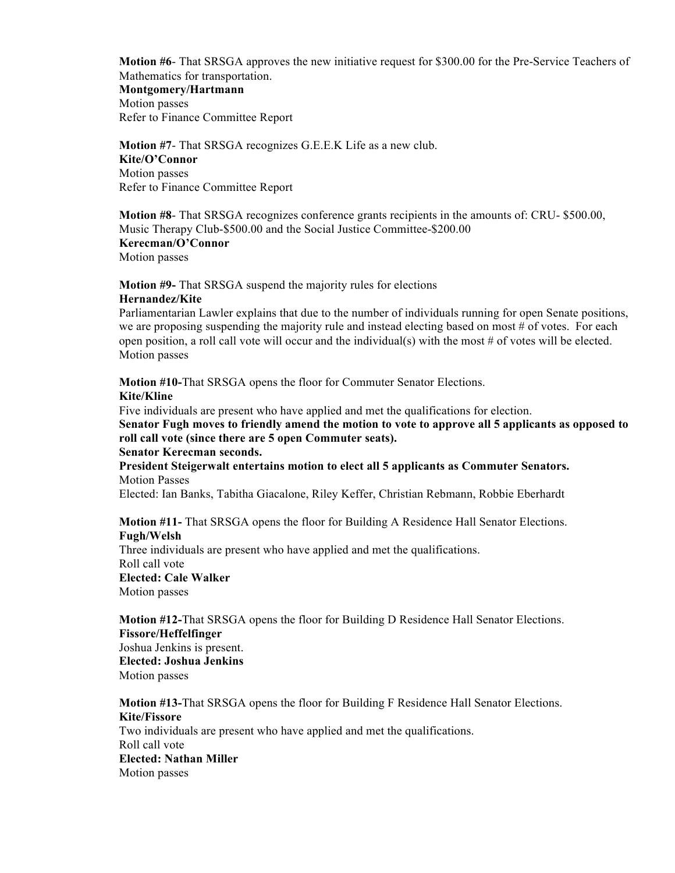**Motion #6**- That SRSGA approves the new initiative request for \$300.00 for the Pre-Service Teachers of Mathematics for transportation.

#### **Montgomery/Hartmann**

Motion passes Refer to Finance Committee Report

**Motion #7**- That SRSGA recognizes G.E.E.K Life as a new club. **Kite/O'Connor**  Motion passes Refer to Finance Committee Report

**Motion #8**- That SRSGA recognizes conference grants recipients in the amounts of: CRU- \$500.00, Music Therapy Club-\$500.00 and the Social Justice Committee-\$200.00

**Kerecman/O'Connor** Motion passes

**Motion #9-** That SRSGA suspend the majority rules for elections **Hernandez/Kite**

Parliamentarian Lawler explains that due to the number of individuals running for open Senate positions, we are proposing suspending the majority rule and instead electing based on most # of votes. For each open position, a roll call vote will occur and the individual(s) with the most  $\#$  of votes will be elected. Motion passes

**Motion #10-**That SRSGA opens the floor for Commuter Senator Elections. **Kite/Kline**

Five individuals are present who have applied and met the qualifications for election.

**Senator Fugh moves to friendly amend the motion to vote to approve all 5 applicants as opposed to roll call vote (since there are 5 open Commuter seats).**

#### **Senator Kerecman seconds.**

**President Steigerwalt entertains motion to elect all 5 applicants as Commuter Senators.** Motion Passes

Elected: Ian Banks, Tabitha Giacalone, Riley Keffer, Christian Rebmann, Robbie Eberhardt

**Motion #11-** That SRSGA opens the floor for Building A Residence Hall Senator Elections. **Fugh/Welsh**

Three individuals are present who have applied and met the qualifications. Roll call vote **Elected: Cale Walker** Motion passes

**Motion #12-**That SRSGA opens the floor for Building D Residence Hall Senator Elections. **Fissore/Heffelfinger**

Joshua Jenkins is present. **Elected: Joshua Jenkins**  Motion passes

**Motion #13-**That SRSGA opens the floor for Building F Residence Hall Senator Elections. **Kite/Fissore**  Two individuals are present who have applied and met the qualifications. Roll call vote **Elected: Nathan Miller**  Motion passes